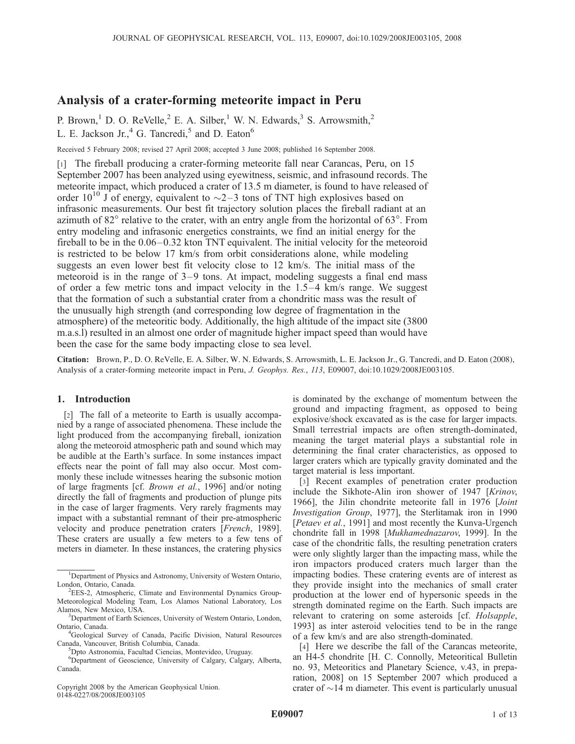# Analysis of a crater-forming meteorite impact in Peru

P. Brown,<sup>1</sup> D. O. ReVelle,<sup>2</sup> E. A. Silber,<sup>1</sup> W. N. Edwards,<sup>3</sup> S. Arrowsmith,<sup>2</sup> L. E. Jackson Jr., $4$  G. Tancredi, $5$  and D. Eaton $6$ 

Received 5 February 2008; revised 27 April 2008; accepted 3 June 2008; published 16 September 2008.

[1] The fireball producing a crater-forming meteorite fall near Carancas, Peru, on 15 September 2007 has been analyzed using eyewitness, seismic, and infrasound records. The meteorite impact, which produced a crater of 13.5 m diameter, is found to have released of order 10<sup>10</sup> J of energy, equivalent to  $\sim$ 2–3 tons of TNT high explosives based on infrasonic measurements. Our best fit trajectory solution places the fireball radiant at an azimuth of  $82^{\circ}$  relative to the crater, with an entry angle from the horizontal of  $63^{\circ}$ . From entry modeling and infrasonic energetics constraints, we find an initial energy for the fireball to be in the 0.06–0.32 kton TNT equivalent. The initial velocity for the meteoroid is restricted to be below 17 km/s from orbit considerations alone, while modeling suggests an even lower best fit velocity close to 12 km/s. The initial mass of the meteoroid is in the range of 3–9 tons. At impact, modeling suggests a final end mass of order a few metric tons and impact velocity in the 1.5–4 km/s range. We suggest that the formation of such a substantial crater from a chondritic mass was the result of the unusually high strength (and corresponding low degree of fragmentation in the atmosphere) of the meteoritic body. Additionally, the high altitude of the impact site (3800 m.a.s.l) resulted in an almost one order of magnitude higher impact speed than would have been the case for the same body impacting close to sea level.

Citation: Brown, P., D. O. ReVelle, E. A. Silber, W. N. Edwards, S. Arrowsmith, L. E. Jackson Jr., G. Tancredi, and D. Eaton (2008), Analysis of a crater-forming meteorite impact in Peru, J. Geophys. Res., 113, E09007, doi:10.1029/2008JE003105.

### 1. Introduction

[2] The fall of a meteorite to Earth is usually accompanied by a range of associated phenomena. These include the light produced from the accompanying fireball, ionization along the meteoroid atmospheric path and sound which may be audible at the Earth's surface. In some instances impact effects near the point of fall may also occur. Most commonly these include witnesses hearing the subsonic motion of large fragments [cf. Brown et al., 1996] and/or noting directly the fall of fragments and production of plunge pits in the case of larger fragments. Very rarely fragments may impact with a substantial remnant of their pre-atmospheric velocity and produce penetration craters [French, 1989]. These craters are usually a few meters to a few tens of meters in diameter. In these instances, the cratering physics

Copyright 2008 by the American Geophysical Union. 0148-0227/08/2008JE003105

is dominated by the exchange of momentum between the ground and impacting fragment, as opposed to being explosive/shock excavated as is the case for larger impacts. Small terrestrial impacts are often strength-dominated, meaning the target material plays a substantial role in determining the final crater characteristics, as opposed to larger craters which are typically gravity dominated and the target material is less important.

[3] Recent examples of penetration crater production include the Sikhote-Alin iron shower of 1947 [Krinov, 1966], the Jilin chondrite meteorite fall in 1976 [Joint Investigation Group, 1977], the Sterlitamak iron in 1990 [Petaev et al., 1991] and most recently the Kunva-Urgench chondrite fall in 1998 [Mukhamednazarov, 1999]. In the case of the chondritic falls, the resulting penetration craters were only slightly larger than the impacting mass, while the iron impactors produced craters much larger than the impacting bodies. These cratering events are of interest as they provide insight into the mechanics of small crater production at the lower end of hypersonic speeds in the strength dominated regime on the Earth. Such impacts are relevant to cratering on some asteroids [cf. Holsapple, 1993] as inter asteroid velocities tend to be in the range of a few km/s and are also strength-dominated.

[4] Here we describe the fall of the Carancas meteorite, an H4-5 chondrite [H. C. Connolly, Meteoritical Bulletin no. 93, Meteoritics and Planetary Science, v.43, in preparation, 2008] on 15 September 2007 which produced a crater of  $\sim$ 14 m diameter. This event is particularly unusual

<sup>&</sup>lt;sup>1</sup>Department of Physics and Astronomy, University of Western Ontario, London, Ontario, Canada.

 $E$ EES-2, Atmospheric, Climate and Environmental Dynamics Group-Meteorological Modeling Team, Los Alamos National Laboratory, Los Alamos, New Mexico, USA. <sup>3</sup>

<sup>&</sup>lt;sup>3</sup>Department of Earth Sciences, University of Western Ontario, London, Ontario, Canada. <sup>4</sup>

<sup>&</sup>lt;sup>4</sup>Geological Survey of Canada, Pacific Division, Natural Resources Canada, Vancouver, British Columbia, Canada. <sup>5</sup>

<sup>&</sup>lt;sup>5</sup>Dpto Astronomia, Facultad Ciencias, Montevideo, Uruguay.

<sup>6</sup> Department of Geoscience, University of Calgary, Calgary, Alberta, Canada.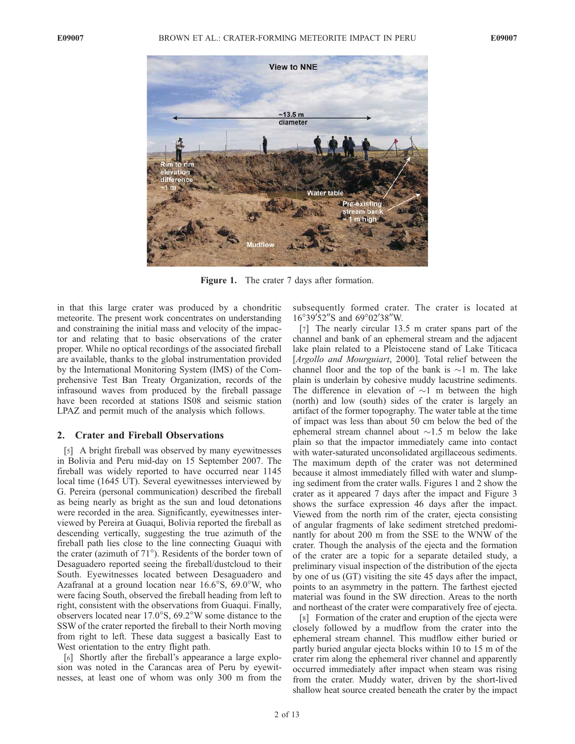

Figure 1. The crater 7 days after formation.

in that this large crater was produced by a chondritic meteorite. The present work concentrates on understanding and constraining the initial mass and velocity of the impactor and relating that to basic observations of the crater proper. While no optical recordings of the associated fireball are available, thanks to the global instrumentation provided by the International Monitoring System (IMS) of the Comprehensive Test Ban Treaty Organization, records of the infrasound waves from produced by the fireball passage have been recorded at stations IS08 and seismic station LPAZ and permit much of the analysis which follows.

# 2. Crater and Fireball Observations

[5] A bright fireball was observed by many eyewitnesses in Bolivia and Peru mid-day on 15 September 2007. The fireball was widely reported to have occurred near 1145 local time (1645 UT). Several eyewitnesses interviewed by G. Pereira (personal communication) described the fireball as being nearly as bright as the sun and loud detonations were recorded in the area. Significantly, eyewitnesses interviewed by Pereira at Guaqui, Bolivia reported the fireball as descending vertically, suggesting the true azimuth of the fireball path lies close to the line connecting Guaqui with the crater (azimuth of  $71^{\circ}$ ). Residents of the border town of Desaguadero reported seeing the fireball/dustcloud to their South. Eyewitnesses located between Desaguadero and Azafranal at a ground location near  $16.6^{\circ}$ S,  $69.0^{\circ}$ W, who were facing South, observed the fireball heading from left to right, consistent with the observations from Guaqui. Finally, observers located near  $17.0^{\circ}$ S,  $69.2^{\circ}$ W some distance to the SSW of the crater reported the fireball to their North moving from right to left. These data suggest a basically East to West orientation to the entry flight path.

[6] Shortly after the fireball's appearance a large explosion was noted in the Carancas area of Peru by eyewitnesses, at least one of whom was only 300 m from the subsequently formed crater. The crater is located at 16°39'52"S and 69°02'38"W.

[7] The nearly circular 13.5 m crater spans part of the channel and bank of an ephemeral stream and the adjacent lake plain related to a Pleistocene stand of Lake Titicaca [*Argollo and Mourguiart*, 2000]. Total relief between the channel floor and the top of the bank is  $\sim$ 1 m. The lake plain is underlain by cohesive muddy lacustrine sediments. The difference in elevation of  $\sim$ 1 m between the high (north) and low (south) sides of the crater is largely an artifact of the former topography. The water table at the time of impact was less than about 50 cm below the bed of the ephemeral stream channel about  $\sim$ 1.5 m below the lake plain so that the impactor immediately came into contact with water-saturated unconsolidated argillaceous sediments. The maximum depth of the crater was not determined because it almost immediately filled with water and slumping sediment from the crater walls. Figures 1 and 2 show the crater as it appeared 7 days after the impact and Figure 3 shows the surface expression 46 days after the impact. Viewed from the north rim of the crater, ejecta consisting of angular fragments of lake sediment stretched predominantly for about 200 m from the SSE to the WNW of the crater. Though the analysis of the ejecta and the formation of the crater are a topic for a separate detailed study, a preliminary visual inspection of the distribution of the ejecta by one of us (GT) visiting the site 45 days after the impact, points to an asymmetry in the pattern. The farthest ejected material was found in the SW direction. Areas to the north and northeast of the crater were comparatively free of ejecta.

[8] Formation of the crater and eruption of the ejecta were closely followed by a mudflow from the crater into the ephemeral stream channel. This mudflow either buried or partly buried angular ejecta blocks within 10 to 15 m of the crater rim along the ephemeral river channel and apparently occurred immediately after impact when steam was rising from the crater. Muddy water, driven by the short-lived shallow heat source created beneath the crater by the impact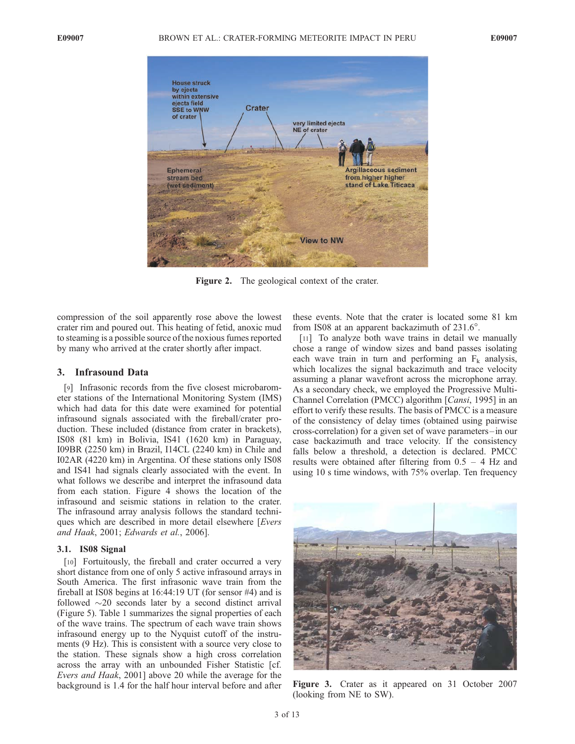

Figure 2. The geological context of the crater.

compression of the soil apparently rose above the lowest crater rim and poured out. This heating of fetid, anoxic mud to steaming is a possible source of the noxious fumes reported by many who arrived at the crater shortly after impact.

## 3. Infrasound Data

[9] Infrasonic records from the five closest microbarometer stations of the International Monitoring System (IMS) which had data for this date were examined for potential infrasound signals associated with the fireball/crater production. These included (distance from crater in brackets), IS08 (81 km) in Bolivia, IS41 (1620 km) in Paraguay, I09BR (2250 km) in Brazil, I14CL (2240 km) in Chile and I02AR (4220 km) in Argentina. Of these stations only IS08 and IS41 had signals clearly associated with the event. In what follows we describe and interpret the infrasound data from each station. Figure 4 shows the location of the infrasound and seismic stations in relation to the crater. The infrasound array analysis follows the standard techniques which are described in more detail elsewhere [Evers and Haak, 2001; Edwards et al., 2006].

#### 3.1. IS08 Signal

[10] Fortuitously, the fireball and crater occurred a very short distance from one of only 5 active infrasound arrays in South America. The first infrasonic wave train from the fireball at IS08 begins at 16:44:19 UT (for sensor #4) and is followed  $\sim$ 20 seconds later by a second distinct arrival (Figure 5). Table 1 summarizes the signal properties of each of the wave trains. The spectrum of each wave train shows infrasound energy up to the Nyquist cutoff of the instruments (9 Hz). This is consistent with a source very close to the station. These signals show a high cross correlation across the array with an unbounded Fisher Statistic [cf. Evers and Haak, 2001] above 20 while the average for the background is 1.4 for the half hour interval before and after these events. Note that the crater is located some 81 km from IS08 at an apparent backazimuth of  $231.6^\circ$ .

[11] To analyze both wave trains in detail we manually chose a range of window sizes and band passes isolating each wave train in turn and performing an  $F_k$  analysis, which localizes the signal backazimuth and trace velocity assuming a planar wavefront across the microphone array. As a secondary check, we employed the Progressive Multi-Channel Correlation (PMCC) algorithm [Cansi, 1995] in an effort to verify these results. The basis of PMCC is a measure of the consistency of delay times (obtained using pairwise cross-correlation) for a given set of wave parameters –in our case backazimuth and trace velocity. If the consistency falls below a threshold, a detection is declared. PMCC results were obtained after filtering from 0.5 – 4 Hz and using 10 s time windows, with 75% overlap. Ten frequency



Figure 3. Crater as it appeared on 31 October 2007 (looking from NE to SW).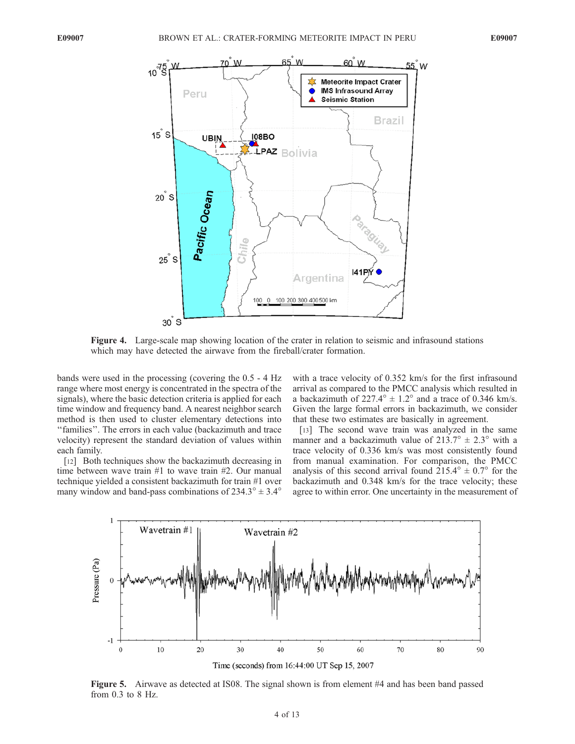

Figure 4. Large-scale map showing location of the crater in relation to seismic and infrasound stations which may have detected the airwave from the fireball/crater formation.

bands were used in the processing (covering the 0.5 - 4 Hz range where most energy is concentrated in the spectra of the signals), where the basic detection criteria is applied for each time window and frequency band. A nearest neighbor search method is then used to cluster elementary detections into ''families''. The errors in each value (backazimuth and trace velocity) represent the standard deviation of values within each family.

[12] Both techniques show the backazimuth decreasing in time between wave train #1 to wave train #2. Our manual technique yielded a consistent backazimuth for train #1 over many window and band-pass combinations of  $234.3^{\circ} \pm 3.4^{\circ}$ 

with a trace velocity of 0.352 km/s for the first infrasound arrival as compared to the PMCC analysis which resulted in a backazimuth of  $227.4^{\circ} \pm 1.2^{\circ}$  and a trace of 0.346 km/s. Given the large formal errors in backazimuth, we consider that these two estimates are basically in agreement.

[13] The second wave train was analyzed in the same manner and a backazimuth value of  $213.7^\circ \pm 2.3^\circ$  with a trace velocity of 0.336 km/s was most consistently found from manual examination. For comparison, the PMCC analysis of this second arrival found  $215.4^{\circ} \pm 0.7^{\circ}$  for the backazimuth and 0.348 km/s for the trace velocity; these agree to within error. One uncertainty in the measurement of



Figure 5. Airwave as detected at IS08. The signal shown is from element #4 and has been band passed from 0.3 to 8 Hz.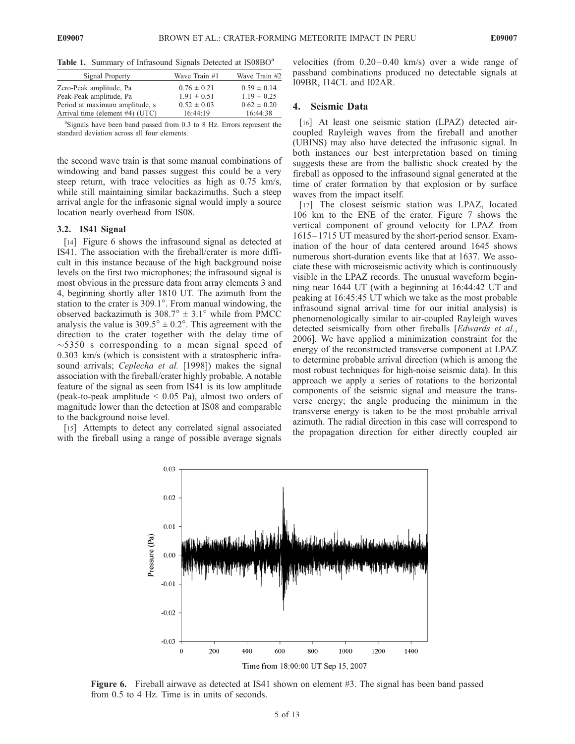|  |  | Table 1. Summary of Infrasound Signals Detected at IS08BO <sup>a</sup> |  |  |
|--|--|------------------------------------------------------------------------|--|--|
|  |  |                                                                        |  |  |

| Signal Property                 | Wave Train #1   | Wave Train #2   |
|---------------------------------|-----------------|-----------------|
| Zero-Peak amplitude, Pa         | $0.76 \pm 0.21$ | $0.59 \pm 0.14$ |
| Peak-Peak amplitude, Pa         | $1.91 \pm 0.51$ | $1.19 \pm 0.25$ |
| Period at maximum amplitude, s  | $0.52 \pm 0.03$ | $0.62 \pm 0.20$ |
| Arrival time (element #4) (UTC) | 16:44:19        | 16:44:38        |

<sup>a</sup>Signals have been band passed from 0.3 to 8 Hz. Errors represent the standard deviation across all four elements.

the second wave train is that some manual combinations of windowing and band passes suggest this could be a very steep return, with trace velocities as high as 0.75 km/s, while still maintaining similar backazimuths. Such a steep arrival angle for the infrasonic signal would imply a source location nearly overhead from IS08.

#### 3.2. IS41 Signal

[14] Figure 6 shows the infrasound signal as detected at IS41. The association with the fireball/crater is more difficult in this instance because of the high background noise levels on the first two microphones; the infrasound signal is most obvious in the pressure data from array elements 3 and 4, beginning shortly after 1810 UT. The azimuth from the station to the crater is  $309.1^\circ$ . From manual windowing, the observed backazimuth is  $308.7^{\circ} \pm 3.1^{\circ}$  while from PMCC analysis the value is  $309.5^{\circ} \pm 0.2^{\circ}$ . This agreement with the direction to the crater together with the delay time of  $\sim$ 5350 s corresponding to a mean signal speed of 0.303 km/s (which is consistent with a stratospheric infrasound arrivals; Ceplecha et al. [1998]) makes the signal association with the fireball/crater highly probable. A notable feature of the signal as seen from IS41 is its low amplitude (peak-to-peak amplitude  $\leq$  0.05 Pa), almost two orders of magnitude lower than the detection at IS08 and comparable to the background noise level.

[15] Attempts to detect any correlated signal associated with the fireball using a range of possible average signals

velocities (from  $0.20 - 0.40$  km/s) over a wide range of passband combinations produced no detectable signals at I09BR, I14CL and I02AR.

## 4. Seismic Data

[16] At least one seismic station (LPAZ) detected aircoupled Rayleigh waves from the fireball and another (UBINS) may also have detected the infrasonic signal. In both instances our best interpretation based on timing suggests these are from the ballistic shock created by the fireball as opposed to the infrasound signal generated at the time of crater formation by that explosion or by surface waves from the impact itself.

[17] The closest seismic station was LPAZ, located 106 km to the ENE of the crater. Figure 7 shows the vertical component of ground velocity for LPAZ from 1615– 1715 UT measured by the short-period sensor. Examination of the hour of data centered around 1645 shows numerous short-duration events like that at 1637. We associate these with microseismic activity which is continuously visible in the LPAZ records. The unusual waveform beginning near 1644 UT (with a beginning at 16:44:42 UT and peaking at 16:45:45 UT which we take as the most probable infrasound signal arrival time for our initial analysis) is phenomenologically similar to air-coupled Rayleigh waves detected seismically from other fireballs [Edwards et al., 2006]. We have applied a minimization constraint for the energy of the reconstructed transverse component at LPAZ to determine probable arrival direction (which is among the most robust techniques for high-noise seismic data). In this approach we apply a series of rotations to the horizontal components of the seismic signal and measure the transverse energy; the angle producing the minimum in the transverse energy is taken to be the most probable arrival azimuth. The radial direction in this case will correspond to the propagation direction for either directly coupled air



Figure 6. Fireball airwave as detected at IS41 shown on element #3. The signal has been band passed from 0.5 to 4 Hz. Time is in units of seconds.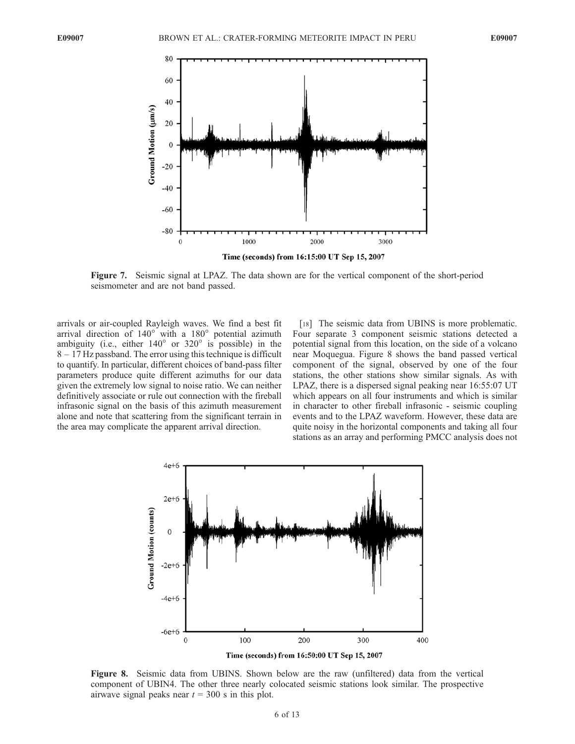

Figure 7. Seismic signal at LPAZ. The data shown are for the vertical component of the short-period seismometer and are not band passed.

arrivals or air-coupled Rayleigh waves. We find a best fit arrival direction of  $140^\circ$  with a  $180^\circ$  potential azimuth ambiguity (i.e., either  $140^\circ$  or  $320^\circ$  is possible) in the 8 – 17 Hz passband. The error using this technique is difficult to quantify. In particular, different choices of band-pass filter parameters produce quite different azimuths for our data given the extremely low signal to noise ratio. We can neither definitively associate or rule out connection with the fireball infrasonic signal on the basis of this azimuth measurement alone and note that scattering from the significant terrain in the area may complicate the apparent arrival direction.

[18] The seismic data from UBINS is more problematic. Four separate 3 component seismic stations detected a potential signal from this location, on the side of a volcano near Moquegua. Figure 8 shows the band passed vertical component of the signal, observed by one of the four stations, the other stations show similar signals. As with LPAZ, there is a dispersed signal peaking near 16:55:07 UT which appears on all four instruments and which is similar in character to other fireball infrasonic - seismic coupling events and to the LPAZ waveform. However, these data are quite noisy in the horizontal components and taking all four stations as an array and performing PMCC analysis does not



Figure 8. Seismic data from UBINS. Shown below are the raw (unfiltered) data from the vertical component of UBIN4. The other three nearly colocated seismic stations look similar. The prospective airwave signal peaks near  $t = 300$  s in this plot.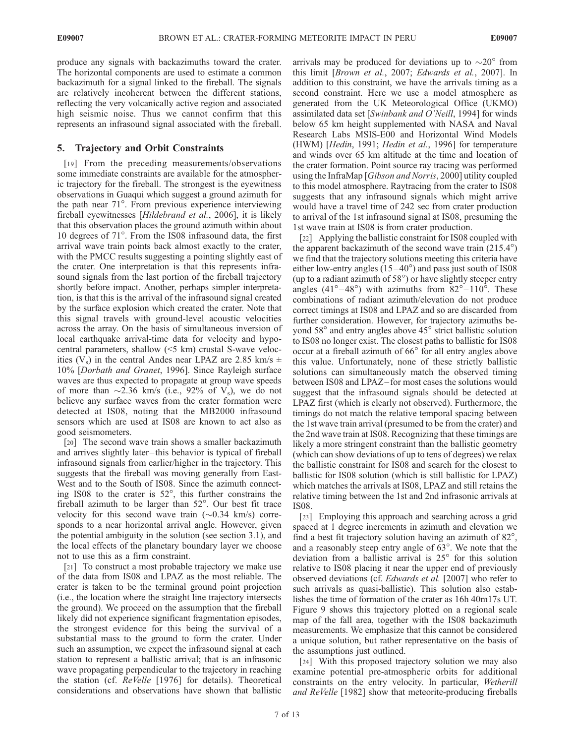produce any signals with backazimuths toward the crater. The horizontal components are used to estimate a common backazimuth for a signal linked to the fireball. The signals are relatively incoherent between the different stations, reflecting the very volcanically active region and associated high seismic noise. Thus we cannot confirm that this represents an infrasound signal associated with the fireball.

# 5. Trajectory and Orbit Constraints

[19] From the preceding measurements/observations some immediate constraints are available for the atmospheric trajectory for the fireball. The strongest is the eyewitness observations in Guaqui which suggest a ground azimuth for the path near 71<sup>°</sup>. From previous experience interviewing fireball eyewitnesses [Hildebrand et al., 2006], it is likely that this observation places the ground azimuth within about 10 degrees of 71<sup>°</sup>. From the IS08 infrasound data, the first arrival wave train points back almost exactly to the crater, with the PMCC results suggesting a pointing slightly east of the crater. One interpretation is that this represents infrasound signals from the last portion of the fireball trajectory shortly before impact. Another, perhaps simpler interpretation, is that this is the arrival of the infrasound signal created by the surface explosion which created the crater. Note that this signal travels with ground-level acoustic velocities across the array. On the basis of simultaneous inversion of local earthquake arrival-time data for velocity and hypocentral parameters, shallow (<5 km) crustal S-wave velocities (V<sub>s</sub>) in the central Andes near LPAZ are 2.85 km/s  $\pm$ 10% [Dorbath and Granet, 1996]. Since Rayleigh surface waves are thus expected to propagate at group wave speeds of more than  $\sim$ 2.36 km/s (i.e., 92% of V<sub>s</sub>), we do not believe any surface waves from the crater formation were detected at IS08, noting that the MB2000 infrasound sensors which are used at IS08 are known to act also as good seismometers.

[20] The second wave train shows a smaller backazimuth and arrives slightly later –this behavior is typical of fireball infrasound signals from earlier/higher in the trajectory. This suggests that the fireball was moving generally from East-West and to the South of IS08. Since the azimuth connecting IS08 to the crater is  $52^\circ$ , this further constrains the fireball azimuth to be larger than  $52^\circ$ . Our best fit trace velocity for this second wave train  $(\sim 0.34 \text{ km/s})$  corresponds to a near horizontal arrival angle. However, given the potential ambiguity in the solution (see section 3.1), and the local effects of the planetary boundary layer we choose not to use this as a firm constraint.

[21] To construct a most probable trajectory we make use of the data from IS08 and LPAZ as the most reliable. The crater is taken to be the terminal ground point projection (i.e., the location where the straight line trajectory intersects the ground). We proceed on the assumption that the fireball likely did not experience significant fragmentation episodes, the strongest evidence for this being the survival of a substantial mass to the ground to form the crater. Under such an assumption, we expect the infrasound signal at each station to represent a ballistic arrival; that is an infrasonic wave propagating perpendicular to the trajectory in reaching the station (cf. ReVelle [1976] for details). Theoretical considerations and observations have shown that ballistic

arrivals may be produced for deviations up to  $\sim 20^{\circ}$  from this limit [Brown et al., 2007; Edwards et al., 2007]. In addition to this constraint, we have the arrivals timing as a second constraint. Here we use a model atmosphere as generated from the UK Meteorological Office (UKMO) assimilated data set [Swinbank and O'Neill, 1994] for winds below 65 km height supplemented with NASA and Naval Research Labs MSIS-E00 and Horizontal Wind Models (HWM) [Hedin, 1991; Hedin et al., 1996] for temperature and winds over 65 km altitude at the time and location of the crater formation. Point source ray tracing was performed using the InfraMap [Gibson and Norris, 2000] utility coupled to this model atmosphere. Raytracing from the crater to IS08 suggests that any infrasound signals which might arrive would have a travel time of 242 sec from crater production to arrival of the 1st infrasound signal at IS08, presuming the 1st wave train at IS08 is from crater production.

[22] Applying the ballistic constraint for IS08 coupled with the apparent backazimuth of the second wave train  $(215.4^{\circ})$ we find that the trajectory solutions meeting this criteria have either low-entry angles  $(15-40^{\circ})$  and pass just south of IS08 (up to a radiant azimuth of  $58^{\circ}$ ) or have slightly steeper entry angles (41°–48°) with azimuths from  $82^\circ$ –110<sup>°</sup>. These combinations of radiant azimuth/elevation do not produce correct timings at IS08 and LPAZ and so are discarded from further consideration. However, for trajectory azimuths beyond 58° and entry angles above 45° strict ballistic solution to IS08 no longer exist. The closest paths to ballistic for IS08 occur at a fireball azimuth of  $66^\circ$  for all entry angles above this value. Unfortunately, none of these strictly ballistic solutions can simultaneously match the observed timing between IS08 and LPAZ – for most cases the solutions would suggest that the infrasound signals should be detected at LPAZ first (which is clearly not observed). Furthermore, the timings do not match the relative temporal spacing between the 1st wave train arrival (presumed to be from the crater) and the 2nd wave train at IS08. Recognizing that these timings are likely a more stringent constraint than the ballistic geometry (which can show deviations of up to tens of degrees) we relax the ballistic constraint for IS08 and search for the closest to ballistic for IS08 solution (which is still ballistic for LPAZ) which matches the arrivals at IS08, LPAZ and still retains the relative timing between the 1st and 2nd infrasonic arrivals at IS08.

[23] Employing this approach and searching across a grid spaced at 1 degree increments in azimuth and elevation we find a best fit trajectory solution having an azimuth of  $82^\circ$ , and a reasonably steep entry angle of  $63^\circ$ . We note that the deviation from a ballistic arrival is  $25^{\circ}$  for this solution relative to IS08 placing it near the upper end of previously observed deviations (cf. Edwards et al. [2007] who refer to such arrivals as quasi-ballistic). This solution also establishes the time of formation of the crater as 16h 40m17s UT. Figure 9 shows this trajectory plotted on a regional scale map of the fall area, together with the IS08 backazimuth measurements. We emphasize that this cannot be considered a unique solution, but rather representative on the basis of the assumptions just outlined.

[24] With this proposed trajectory solution we may also examine potential pre-atmospheric orbits for additional constraints on the entry velocity. In particular, Wetherill and ReVelle [1982] show that meteorite-producing fireballs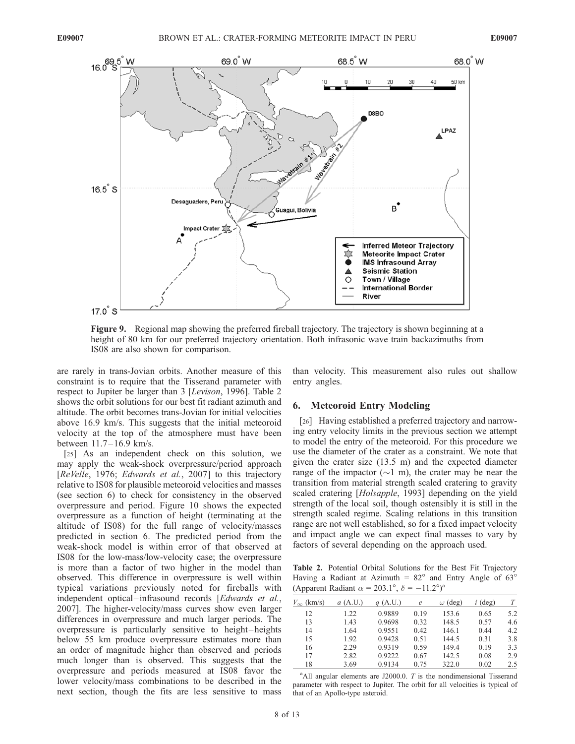

Figure 9. Regional map showing the preferred fireball trajectory. The trajectory is shown beginning at a height of 80 km for our preferred trajectory orientation. Both infrasonic wave train backazimuths from IS08 are also shown for comparison.

are rarely in trans-Jovian orbits. Another measure of this constraint is to require that the Tisserand parameter with respect to Jupiter be larger than 3 [Levison, 1996]. Table 2 shows the orbit solutions for our best fit radiant azimuth and altitude. The orbit becomes trans-Jovian for initial velocities above 16.9 km/s. This suggests that the initial meteoroid velocity at the top of the atmosphere must have been between 11.7– 16.9 km/s.

[25] As an independent check on this solution, we may apply the weak-shock overpressure/period approach [ReVelle, 1976; Edwards et al., 2007] to this trajectory relative to IS08 for plausible meteoroid velocities and masses (see section 6) to check for consistency in the observed overpressure and period. Figure 10 shows the expected overpressure as a function of height (terminating at the altitude of IS08) for the full range of velocity/masses predicted in section 6. The predicted period from the weak-shock model is within error of that observed at IS08 for the low-mass/low-velocity case; the overpressure is more than a factor of two higher in the model than observed. This difference in overpressure is well within typical variations previously noted for fireballs with independent optical-infrasound records [Edwards et al., 2007]. The higher-velocity/mass curves show even larger differences in overpressure and much larger periods. The overpressure is particularly sensitive to height-heights below 55 km produce overpressure estimates more than an order of magnitude higher than observed and periods much longer than is observed. This suggests that the overpressure and periods measured at IS08 favor the lower velocity/mass combinations to be described in the next section, though the fits are less sensitive to mass

than velocity. This measurement also rules out shallow entry angles.

# 6. Meteoroid Entry Modeling

[26] Having established a preferred trajectory and narrowing entry velocity limits in the previous section we attempt to model the entry of the meteoroid. For this procedure we use the diameter of the crater as a constraint. We note that given the crater size (13.5 m) and the expected diameter range of the impactor  $(\sim 1 \text{ m})$ , the crater may be near the transition from material strength scaled cratering to gravity scaled cratering [*Holsapple*, 1993] depending on the yield strength of the local soil, though ostensibly it is still in the strength scaled regime. Scaling relations in this transition range are not well established, so for a fixed impact velocity and impact angle we can expect final masses to vary by factors of several depending on the approach used.

Table 2. Potential Orbital Solutions for the Best Fit Trajectory Having a Radiant at Azimuth =  $82^\circ$  and Entry Angle of 63 $^\circ$ (Apparent Radiant  $\alpha = 203.1^\circ$ ,  $\delta = -11.2^\circ$ )<sup>a</sup>

| $V_{\infty}$<br>(km/s) | (A.U.)<br>$\mathfrak{a}$ | (A.U.) | e    | $\omega$ (deg) | $i$ (deg) |     |
|------------------------|--------------------------|--------|------|----------------|-----------|-----|
| 12                     | 1.22                     | 0.9889 | 0.19 | 153.6          | 0.65      | 5.2 |
| 13                     | 1.43                     | 0.9698 | 0.32 | 148.5          | 0.57      | 4.6 |
| 14                     | 1.64                     | 0.9551 | 0.42 | 146.1          | 0.44      | 4.2 |
| 15                     | 1.92                     | 0.9428 | 0.51 | 144.5          | 0.31      | 3.8 |
| 16                     | 2.29                     | 0.9319 | 0.59 | 149.4          | 0.19      | 3.3 |
| 17                     | 2.82                     | 0.9222 | 0.67 | 142.5          | 0.08      | 2.9 |
| 18                     | 3.69                     | 0.9134 | 0.75 | 322.0          | 0.02      | 2.5 |

 $^{\text{a}}$ All angular elements are J2000.0. *T* is the nondimensional Tisserand parameter with respect to Jupiter. The orbit for all velocities is typical of that of an Apollo-type asteroid.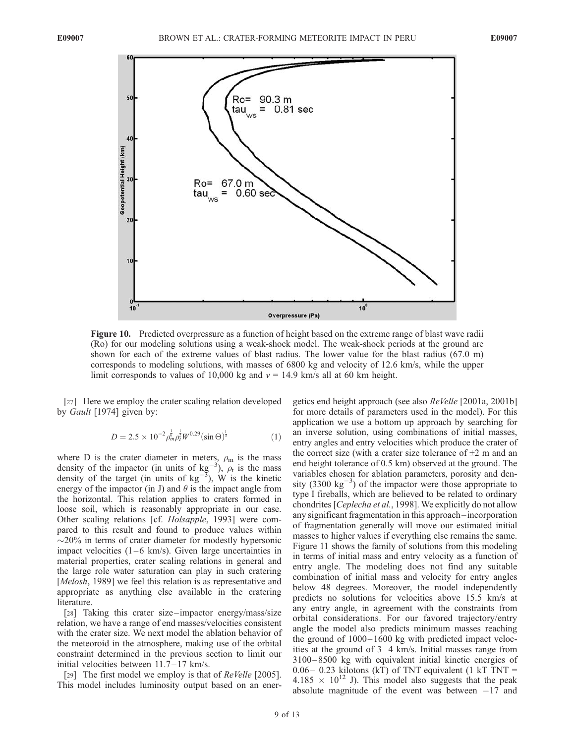

Figure 10. Predicted overpressure as a function of height based on the extreme range of blast wave radii (Ro) for our modeling solutions using a weak-shock model. The weak-shock periods at the ground are shown for each of the extreme values of blast radius. The lower value for the blast radius (67.0 m) corresponds to modeling solutions, with masses of 6800 kg and velocity of 12.6 km/s, while the upper limit corresponds to values of 10,000 kg and  $v = 14.9$  km/s all at 60 km height.

[27] Here we employ the crater scaling relation developed by Gault [1974] given by:

$$
D = 2.5 \times 10^{-2} \rho_m^{\frac{1}{6}} \rho_t^{\frac{1}{2}} W^{0.29} (\sin \Theta)^{\frac{1}{3}}
$$
 (1)

where D is the crater diameter in meters,  $\rho_{\rm m}$  is the mass density of the impactor (in units of  $kg^{-3}$ ),  $\rho_t$  is the mass density of the target (in units of  $kg^{-3}$ ), W is the kinetic energy of the impactor (in J) and  $\theta$  is the impact angle from the horizontal. This relation applies to craters formed in loose soil, which is reasonably appropriate in our case. Other scaling relations [cf. Holsapple, 1993] were compared to this result and found to produce values within  $\sim$ 20% in terms of crater diameter for modestly hypersonic impact velocities  $(1-6 \text{ km/s})$ . Given large uncertainties in material properties, crater scaling relations in general and the large role water saturation can play in such cratering [*Melosh*, 1989] we feel this relation is as representative and appropriate as anything else available in the cratering literature.

[28] Taking this crater size-impactor energy/mass/size relation, we have a range of end masses/velocities consistent with the crater size. We next model the ablation behavior of the meteoroid in the atmosphere, making use of the orbital constraint determined in the previous section to limit our initial velocities between  $11.7-17$  km/s.

[29] The first model we employ is that of *ReVelle* [2005]. This model includes luminosity output based on an energetics end height approach (see also ReVelle [2001a, 2001b] for more details of parameters used in the model). For this application we use a bottom up approach by searching for an inverse solution, using combinations of initial masses, entry angles and entry velocities which produce the crater of the correct size (with a crater size tolerance of  $\pm 2$  m and an end height tolerance of 0.5 km) observed at the ground. The variables chosen for ablation parameters, porosity and density (3300  $\text{kg}^{-3}$ ) of the impactor were those appropriate to type I fireballs, which are believed to be related to ordinary chondrites [Ceplecha et al., 1998]. We explicitly do not allow any significant fragmentation in this approach –incorporation of fragmentation generally will move our estimated initial masses to higher values if everything else remains the same. Figure 11 shows the family of solutions from this modeling in terms of initial mass and entry velocity as a function of entry angle. The modeling does not find any suitable combination of initial mass and velocity for entry angles below 48 degrees. Moreover, the model independently predicts no solutions for velocities above 15.5 km/s at any entry angle, in agreement with the constraints from orbital considerations. For our favored trajectory/entry angle the model also predicts minimum masses reaching the ground of  $1000 - 1600$  kg with predicted impact velocities at the ground of  $3-4$  km/s. Initial masses range from 3100– 8500 kg with equivalent initial kinetic energies of  $0.06-0.23$  kilotons (kT) of TNT equivalent (1 kT TNT = 4.185  $\times$  10<sup>12</sup> J). This model also suggests that the peak absolute magnitude of the event was between  $-17$  and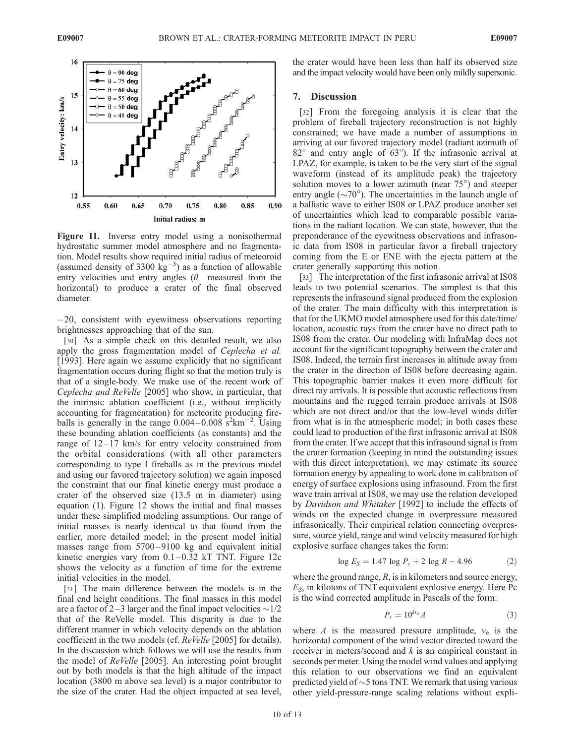

Figure 11. Inverse entry model using a nonisothermal hydrostatic summer model atmosphere and no fragmentation. Model results show required initial radius of meteoroid (assumed density of 3300  $\text{kg}^{-3}$ ) as a function of allowable entry velocities and entry angles  $(\theta$ —measured from the horizontal) to produce a crater of the final observed diameter.

 $-20$ , consistent with eyewitness observations reporting brightnesses approaching that of the sun.

[30] As a simple check on this detailed result, we also apply the gross fragmentation model of Ceplecha et al. [1993]. Here again we assume explicitly that no significant fragmentation occurs during flight so that the motion truly is that of a single-body. We make use of the recent work of Ceplecha and ReVelle [2005] who show, in particular, that the intrinsic ablation coefficient (i.e., without implicitly accounting for fragmentation) for meteorite producing fireballs is generally in the range  $0.004 - 0.008 \text{ s}^2 \text{km}^{-2}$ . Using these bounding ablation coefficients (as constants) and the range of  $12-17$  km/s for entry velocity constrained from the orbital considerations (with all other parameters corresponding to type I fireballs as in the previous model and using our favored trajectory solution) we again imposed the constraint that our final kinetic energy must produce a crater of the observed size (13.5 m in diameter) using equation (1). Figure 12 shows the initial and final masses under these simplified modeling assumptions. Our range of initial masses is nearly identical to that found from the earlier, more detailed model; in the present model initial masses range from 5700-9100 kg and equivalent initial kinetic energies vary from  $0.1-0.32$  kT TNT. Figure 12c shows the velocity as a function of time for the extreme initial velocities in the model.

[31] The main difference between the models is in the final end height conditions. The final masses in this model are a factor of 2–3 larger and the final impact velocities  $\sim$ 1/2 that of the ReVelle model. This disparity is due to the different manner in which velocity depends on the ablation coefficient in the two models (cf. ReVelle [2005] for details). In the discussion which follows we will use the results from the model of ReVelle [2005]. An interesting point brought out by both models is that the high altitude of the impact location (3800 m above sea level) is a major contributor to the size of the crater. Had the object impacted at sea level,

the crater would have been less than half its observed size and the impact velocity would have been only mildly supersonic.

## 7. Discussion

[32] From the foregoing analysis it is clear that the problem of fireball trajectory reconstruction is not highly constrained; we have made a number of assumptions in arriving at our favored trajectory model (radiant azimuth of  $82^{\circ}$  and entry angle of  $63^{\circ}$ ). If the infrasonic arrival at LPAZ, for example, is taken to be the very start of the signal waveform (instead of its amplitude peak) the trajectory solution moves to a lower azimuth (near  $75^{\circ}$ ) and steeper entry angle ( $\sim$ 70°). The uncertainties in the launch angle of a ballistic wave to either IS08 or LPAZ produce another set of uncertainties which lead to comparable possible variations in the radiant location. We can state, however, that the preponderance of the eyewitness observations and infrasonic data from IS08 in particular favor a fireball trajectory coming from the E or ENE with the ejecta pattern at the crater generally supporting this notion.

[33] The interpretation of the first infrasonic arrival at IS08 leads to two potential scenarios. The simplest is that this represents the infrasound signal produced from the explosion of the crater. The main difficulty with this interpretation is that for the UKMO model atmosphere used for this date/time/ location, acoustic rays from the crater have no direct path to IS08 from the crater. Our modeling with InfraMap does not account for the significant topography between the crater and IS08. Indeed, the terrain first increases in altitude away from the crater in the direction of IS08 before decreasing again. This topographic barrier makes it even more difficult for direct ray arrivals. It is possible that acoustic reflections from mountains and the rugged terrain produce arrivals at IS08 which are not direct and/or that the low-level winds differ from what is in the atmospheric model; in both cases these could lead to production of the first infrasonic arrival at IS08 from the crater. If we accept that this infrasound signal is from the crater formation (keeping in mind the outstanding issues with this direct interpretation), we may estimate its source formation energy by appealing to work done in calibration of energy of surface explosions using infrasound. From the first wave train arrival at IS08, we may use the relation developed by Davidson and Whitaker [1992] to include the effects of winds on the expected change in overpressure measured infrasonically. Their empirical relation connecting overpressure, source yield, range and wind velocity measured for high explosive surface changes takes the form:

$$
\log E_S = 1.47 \log P_c + 2 \log R - 4.96 \tag{2}
$$

where the ground range,  $R$ , is in kilometers and source energy,  $E<sub>S</sub>$ , in kilotons of TNT equivalent explosive energy. Here Pc is the wind corrected amplitude in Pascals of the form:

$$
P_c = 10^{kv_h} A \tag{3}
$$

where A is the measured pressure amplitude,  $v_h$  is the horizontal component of the wind vector directed toward the receiver in meters/second and  $k$  is an empirical constant in seconds per meter. Using the model wind values and applying this relation to our observations we find an equivalent predicted yield of  $\sim$  5 tons TNT. We remark that using various other yield-pressure-range scaling relations without expli-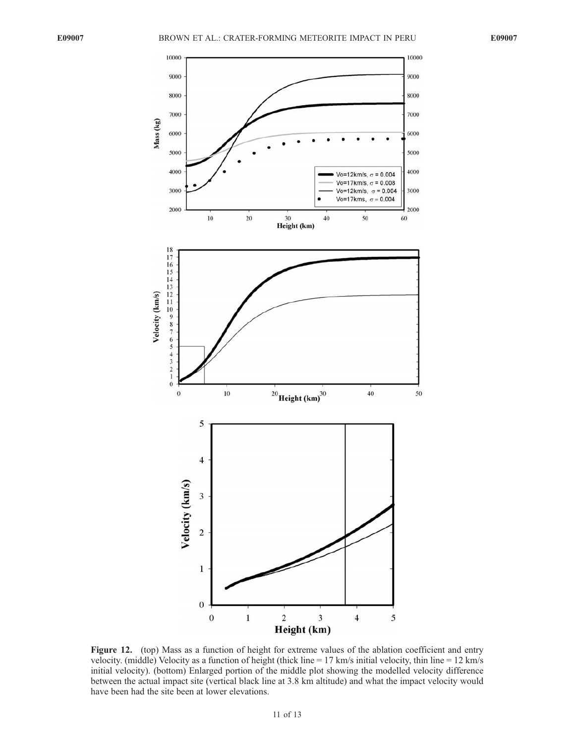

Figure 12. (top) Mass as a function of height for extreme values of the ablation coefficient and entry velocity. (middle) Velocity as a function of height (thick line = 17 km/s initial velocity, thin line = 12 km/s initial velocity). (bottom) Enlarged portion of the middle plot showing the modelled velocity difference between the actual impact site (vertical black line at 3.8 km altitude) and what the impact velocity would have been had the site been at lower elevations.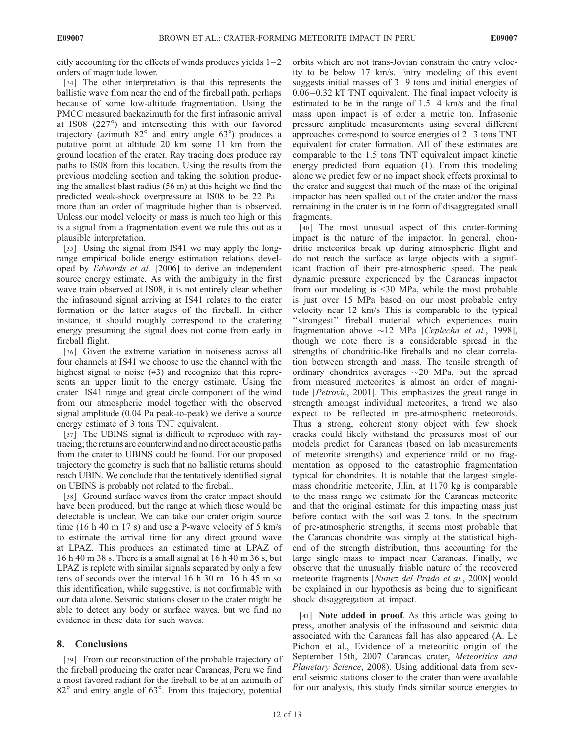citly accounting for the effects of winds produces yields  $1-2$ orders of magnitude lower.

[34] The other interpretation is that this represents the ballistic wave from near the end of the fireball path, perhaps because of some low-altitude fragmentation. Using the PMCC measured backazimuth for the first infrasonic arrival at IS08 (227°) and intersecting this with our favored trajectory (azimuth  $82^\circ$  and entry angle  $63^\circ$ ) produces a putative point at altitude 20 km some 11 km from the ground location of the crater. Ray tracing does produce ray paths to IS08 from this location. Using the results from the previous modeling section and taking the solution producing the smallest blast radius (56 m) at this height we find the predicted weak-shock overpressure at IS08 to be 22 Pa– more than an order of magnitude higher than is observed. Unless our model velocity or mass is much too high or this is a signal from a fragmentation event we rule this out as a plausible interpretation.

[35] Using the signal from IS41 we may apply the longrange empirical bolide energy estimation relations developed by Edwards et al. [2006] to derive an independent source energy estimate. As with the ambiguity in the first wave train observed at IS08, it is not entirely clear whether the infrasound signal arriving at IS41 relates to the crater formation or the latter stages of the fireball. In either instance, it should roughly correspond to the cratering energy presuming the signal does not come from early in fireball flight.

[36] Given the extreme variation in noiseness across all four channels at IS41 we choose to use the channel with the highest signal to noise (#3) and recognize that this represents an upper limit to the energy estimate. Using the crater – IS41 range and great circle component of the wind from our atmospheric model together with the observed signal amplitude (0.04 Pa peak-to-peak) we derive a source energy estimate of 3 tons TNT equivalent.

[37] The UBINS signal is difficult to reproduce with raytracing; the returns are counterwind and no direct acoustic paths from the crater to UBINS could be found. For our proposed trajectory the geometry is such that no ballistic returns should reach UBIN. We conclude that the tentatively identified signal on UBINS is probably not related to the fireball.

[38] Ground surface waves from the crater impact should have been produced, but the range at which these would be detectable is unclear. We can take our crater origin source time (16 h 40 m 17 s) and use a P-wave velocity of 5 km/s to estimate the arrival time for any direct ground wave at LPAZ. This produces an estimated time at LPAZ of 16 h 40 m 38 s. There is a small signal at 16 h 40 m 36 s, but LPAZ is replete with similar signals separated by only a few tens of seconds over the interval 16 h  $30 \text{ m} - 16$  h  $45 \text{ m}$  so this identification, while suggestive, is not confirmable with our data alone. Seismic stations closer to the crater might be able to detect any body or surface waves, but we find no evidence in these data for such waves.

# 8. Conclusions

[39] From our reconstruction of the probable trajectory of the fireball producing the crater near Carancas, Peru we find a most favored radiant for the fireball to be at an azimuth of  $82^{\circ}$  and entry angle of  $63^{\circ}$ . From this trajectory, potential

orbits which are not trans-Jovian constrain the entry velocity to be below 17 km/s. Entry modeling of this event suggests initial masses of  $3-9$  tons and initial energies of 0.06– 0.32 kT TNT equivalent. The final impact velocity is estimated to be in the range of  $1.5-4$  km/s and the final mass upon impact is of order a metric ton. Infrasonic pressure amplitude measurements using several different approaches correspond to source energies of  $2-3$  tons TNT equivalent for crater formation. All of these estimates are comparable to the 1.5 tons TNT equivalent impact kinetic energy predicted from equation (1). From this modeling alone we predict few or no impact shock effects proximal to the crater and suggest that much of the mass of the original impactor has been spalled out of the crater and/or the mass remaining in the crater is in the form of disaggregated small fragments.

[40] The most unusual aspect of this crater-forming impact is the nature of the impactor. In general, chondritic meteorites break up during atmospheric flight and do not reach the surface as large objects with a significant fraction of their pre-atmospheric speed. The peak dynamic pressure experienced by the Carancas impactor from our modeling is <30 MPa, while the most probable is just over 15 MPa based on our most probable entry velocity near 12 km/s This is comparable to the typical "strongest" fireball material which experiences main fragmentation above  $\sim$ 12 MPa [Ceplecha et al., 1998], though we note there is a considerable spread in the strengths of chondritic-like fireballs and no clear correlation between strength and mass. The tensile strength of ordinary chondrites averages  $\sim$ 20 MPa, but the spread from measured meteorites is almost an order of magnitude [Petrovic, 2001]. This emphasizes the great range in strength amongst individual meteorites, a trend we also expect to be reflected in pre-atmospheric meteoroids. Thus a strong, coherent stony object with few shock cracks could likely withstand the pressures most of our models predict for Carancas (based on lab measurements of meteorite strengths) and experience mild or no fragmentation as opposed to the catastrophic fragmentation typical for chondrites. It is notable that the largest singlemass chondritic meteorite, Jilin, at 1170 kg is comparable to the mass range we estimate for the Carancas meteorite and that the original estimate for this impacting mass just before contact with the soil was 2 tons. In the spectrum of pre-atmospheric strengths, it seems most probable that the Carancas chondrite was simply at the statistical highend of the strength distribution, thus accounting for the large single mass to impact near Carancas. Finally, we observe that the unusually friable nature of the recovered meteorite fragments [Nunez del Prado et al., 2008] would be explained in our hypothesis as being due to significant shock disaggregation at impact.

[41] **Note added in proof**. As this article was going to press, another analysis of the infrasound and seismic data associated with the Carancas fall has also appeared (A. Le Pichon et al., Evidence of a meteoritic origin of the September 15th, 2007 Carancas crater, Meteoritics and Planetary Science, 2008). Using additional data from several seismic stations closer to the crater than were available for our analysis, this study finds similar source energies to